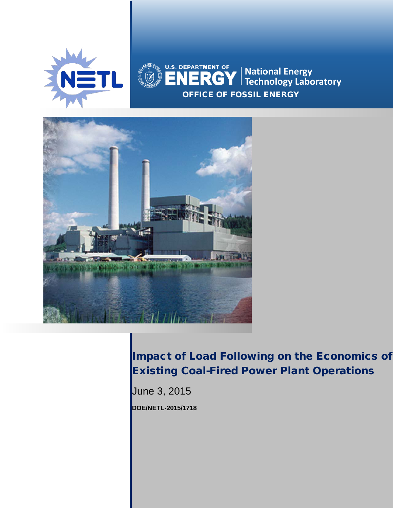

#### **U.S. DEPARTMENT OF National Energy NERG** Ξ **Technology Laboratory**OFFICE OF FOSSIL ENERGY



## Impact of Load Following on the Economics of Existing Coal-Fired Power Plant Operations

June 3, 2015 **DOE/NETL-2015/1718**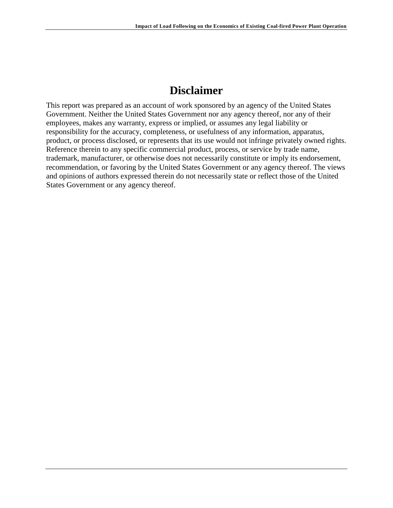### **Disclaimer**

This report was prepared as an account of work sponsored by an agency of the United States Government. Neither the United States Government nor any agency thereof, nor any of their employees, makes any warranty, express or implied, or assumes any legal liability or responsibility for the accuracy, completeness, or usefulness of any information, apparatus, product, or process disclosed, or represents that its use would not infringe privately owned rights. Reference therein to any specific commercial product, process, or service by trade name, trademark, manufacturer, or otherwise does not necessarily constitute or imply its endorsement, recommendation, or favoring by the United States Government or any agency thereof. The views and opinions of authors expressed therein do not necessarily state or reflect those of the United States Government or any agency thereof.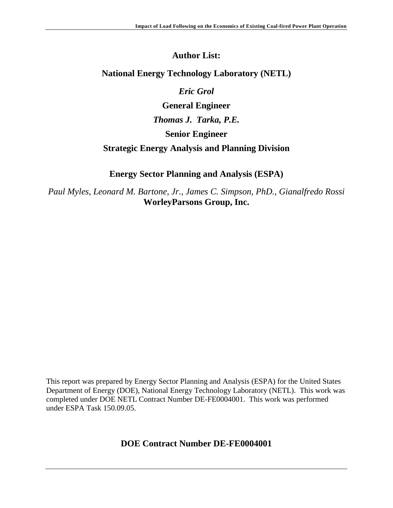#### **Author List:**

#### **National Energy Technology Laboratory (NETL)**

#### *Eric Grol*

**General Engineer**

#### *Thomas J. Tarka, P.E.*

#### **Senior Engineer**

#### **Strategic Energy Analysis and Planning Division**

**Energy Sector Planning and Analysis (ESPA)**

*Paul Myles, Leonard M. Bartone, Jr., James C. Simpson, PhD., Gianalfredo Rossi* **WorleyParsons Group, Inc.**

This report was prepared by Energy Sector Planning and Analysis (ESPA) for the United States Department of Energy (DOE), National Energy Technology Laboratory (NETL). This work was completed under DOE NETL Contract Number DE-FE0004001. This work was performed under ESPA Task 150.09.05.

#### **DOE Contract Number DE-FE0004001**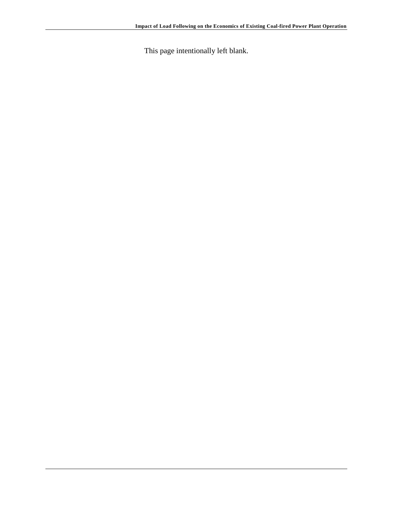This page intentionally left blank.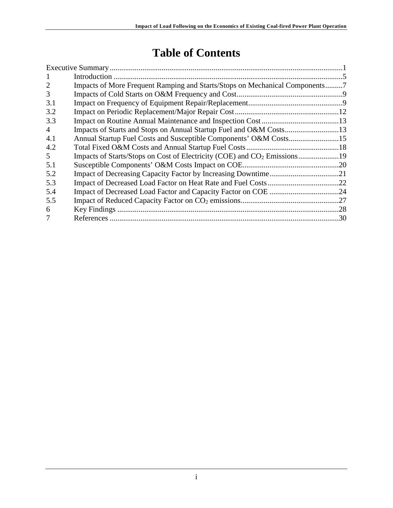# **Table of Contents**

| 1              |                                                                                      |  |
|----------------|--------------------------------------------------------------------------------------|--|
| 2              | Impacts of More Frequent Ramping and Starts/Stops on Mechanical Components7          |  |
| 3              |                                                                                      |  |
| 3.1            |                                                                                      |  |
| 3.2            |                                                                                      |  |
| 3.3            |                                                                                      |  |
| $\overline{4}$ |                                                                                      |  |
| 4.1            |                                                                                      |  |
| 4.2            |                                                                                      |  |
| 5              | Impacts of Starts/Stops on Cost of Electricity (COE) and CO <sub>2</sub> Emissions19 |  |
| 5.1            |                                                                                      |  |
| 5.2            |                                                                                      |  |
| 5.3            |                                                                                      |  |
| 5.4            |                                                                                      |  |
| 5.5            |                                                                                      |  |
| 6              |                                                                                      |  |
| 7              |                                                                                      |  |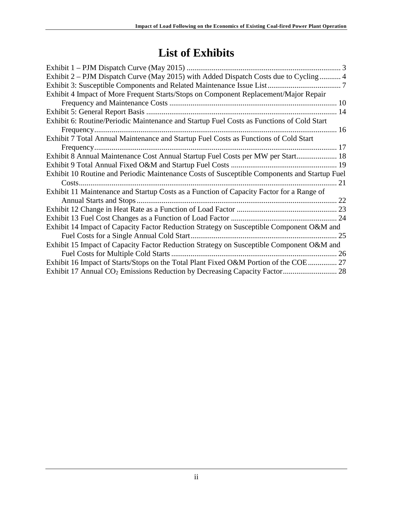## **List of Exhibits**

| Exhibit 2 – PJM Dispatch Curve (May 2015) with Added Dispatch Costs due to Cycling 4         |  |
|----------------------------------------------------------------------------------------------|--|
|                                                                                              |  |
| Exhibit 4 Impact of More Frequent Starts/Stops on Component Replacement/Major Repair         |  |
|                                                                                              |  |
|                                                                                              |  |
| Exhibit 6: Routine/Periodic Maintenance and Startup Fuel Costs as Functions of Cold Start    |  |
|                                                                                              |  |
| Exhibit 7 Total Annual Maintenance and Startup Fuel Costs as Functions of Cold Start         |  |
|                                                                                              |  |
| Exhibit 8 Annual Maintenance Cost Annual Startup Fuel Costs per MW per Start 18              |  |
|                                                                                              |  |
| Exhibit 10 Routine and Periodic Maintenance Costs of Susceptible Components and Startup Fuel |  |
|                                                                                              |  |
| Exhibit 11 Maintenance and Startup Costs as a Function of Capacity Factor for a Range of     |  |
|                                                                                              |  |
|                                                                                              |  |
|                                                                                              |  |
| Exhibit 14 Impact of Capacity Factor Reduction Strategy on Susceptible Component O&M and     |  |
|                                                                                              |  |
| Exhibit 15 Impact of Capacity Factor Reduction Strategy on Susceptible Component O&M and     |  |
|                                                                                              |  |
| Exhibit 16 Impact of Starts/Stops on the Total Plant Fixed O&M Portion of the COE 27         |  |
|                                                                                              |  |
|                                                                                              |  |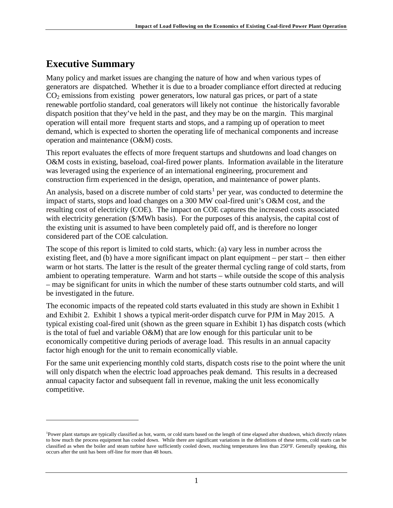## <span id="page-6-0"></span>**Executive Summary**

 $\overline{a}$ 

Many policy and market issues are changing the nature of how and when various types of generators are dispatched. Whether it is due to a broader compliance effort directed at reducing  $CO<sub>2</sub>$  emissions from existing power generators, low natural gas prices, or part of a state renewable portfolio standard, coal generators will likely not continue the historically favorable dispatch position that they've held in the past, and they may be on the margin. This marginal operation will entail more frequent starts and stops, and a ramping up of operation to meet demand, which is expected to shorten the operating life of mechanical components and increase operation and maintenance (O&M) costs.

This report evaluates the effects of more frequent startups and shutdowns and load changes on O&M costs in existing, baseload, coal-fired power plants. Information available in the literature was leveraged using the experience of an international engineering, procurement and construction firm experienced in the design, operation, and maintenance of power plants.

An analysis, based on a discrete number of cold starts<sup>[1](#page-6-1)</sup> per year, was conducted to determine the impact of starts, stops and load changes on a 300 MW coal-fired unit's O&M cost, and the resulting cost of electricity (COE). The impact on COE captures the increased costs associated with electricity generation (\$/MWh basis). For the purposes of this analysis, the capital cost of the existing unit is assumed to have been completely paid off, and is therefore no longer considered part of the COE calculation.

The scope of this report is limited to cold starts, which: (a) vary less in number across the existing fleet, and (b) have a more significant impact on plant equipment – per start – then either warm or hot starts. The latter is the result of the greater thermal cycling range of cold starts, from ambient to operating temperature. Warm and hot starts – while outside the scope of this analysis – may be significant for units in which the number of these starts outnumber cold starts, and will be investigated in the future.

The economic impacts of the repeated cold starts evaluated in this study are shown in [Exhibit 1](#page-8-0) and [Exhibit 2.](#page-9-0) [Exhibit 1](#page-8-0) shows a typical merit-order dispatch curve for PJM in May 2015. A typical existing coal-fired unit (shown as the green square in [Exhibit 1\)](#page-8-0) has dispatch costs (which is the total of fuel and variable O&M) that are low enough for this particular unit to be economically competitive during periods of average load. This results in an annual capacity factor high enough for the unit to remain economically viable.

For the same unit experiencing monthly cold starts, dispatch costs rise to the point where the unit will only dispatch when the electric load approaches peak demand. This results in a decreased annual capacity factor and subsequent fall in revenue, making the unit less economically competitive.

<span id="page-6-1"></span><sup>1</sup> Power plant startups are typically classified as hot, warm, or cold starts based on the length of time elapsed after shutdown, which directly relates to how much the process equipment has cooled down. While there are significant variations in the definitions of these terms, cold starts can be classified as when the boiler and steam turbine have sufficiently cooled down, reaching temperatures less than 250°F. Generally speaking, this occurs after the unit has been off-line for more than 48 hours.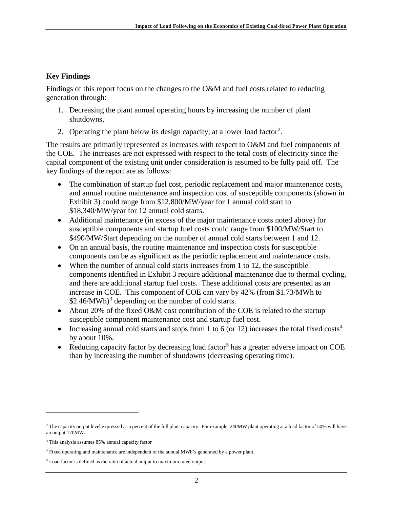#### **Key Findings**

Findings of this report focus on the changes to the O&M and fuel costs related to reducing generation through:

- 1. Decreasing the plant annual operating hours by increasing the number of plant shutdowns,
- [2](#page-7-0). Operating the plant below its design capacity, at a lower load factor<sup>2</sup>.

The results are primarily represented as increases with respect to O&M and fuel components of the COE. The increases are not expressed with respect to the total costs of electricity since the capital component of the existing unit under consideration is assumed to be fully paid off. The key findings of the report are as follows:

- The combination of startup fuel cost, periodic replacement and major maintenance costs, and annual routine maintenance and inspection cost of susceptible components (shown in [Exhibit 3\)](#page-12-1) could range from \$12,800/MW/year for 1 annual cold start to \$18,340/MW/year for 12 annual cold starts.
- Additional maintenance (in excess of the major maintenance costs noted above) for susceptible components and startup fuel costs could range from \$100/MW/Start to \$490/MW/Start depending on the number of annual cold starts between 1 and 12.
- On an annual basis, the routine maintenance and inspection costs for susceptible components can be as significant as the periodic replacement and maintenance costs.
- When the number of annual cold starts increases from 1 to 12, the susceptible components identified in [Exhibit 3](#page-12-1) require additional maintenance due to thermal cycling, and there are additional startup fuel costs. These additional costs are presented as an increase in COE. This component of COE can vary by 42% (from \$1.73/MWh to  $$2.46/MWh$ <sup>[3](#page-7-1)</sup> depending on the number of cold starts.
- About 20% of the fixed O&M cost contribution of the COE is related to the startup susceptible component maintenance cost and startup fuel cost.
- Increasing annual cold starts and stops from 1 to 6 (or 12) increases the total fixed costs<sup>[4](#page-7-2)</sup> by about 10%.
- Reducing capacity factor by decreasing load factor<sup>[5](#page-7-3)</sup> has a greater adverse impact on COE than by increasing the number of shutdowns (decreasing operating time).

 $\overline{a}$ 

<span id="page-7-0"></span><sup>&</sup>lt;sup>2</sup> The capacity output level expressed as a percent of the full plant capacity. For example, 240MW plant operating at a load factor of 50% will have an output 120MW.

<span id="page-7-1"></span><sup>3</sup> This analysis assumes 85% annual capacity factor

<span id="page-7-2"></span><sup>4</sup> Fixed operating and maintenance are independent of the annual MWh's generated by a power plant.

<span id="page-7-3"></span><sup>5</sup> Load factor is defined as the ratio of actual output to maximum rated output.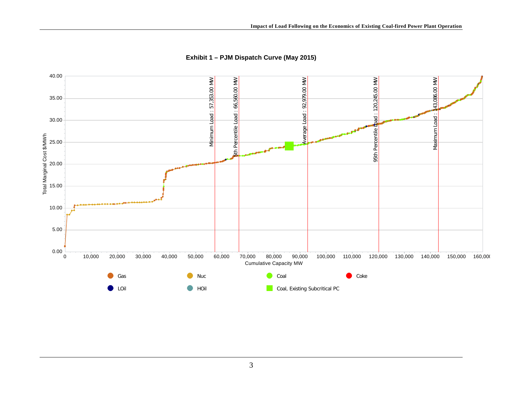<span id="page-8-0"></span>

**Exhibit 1 – PJM Dispatch Curve (May 2015)**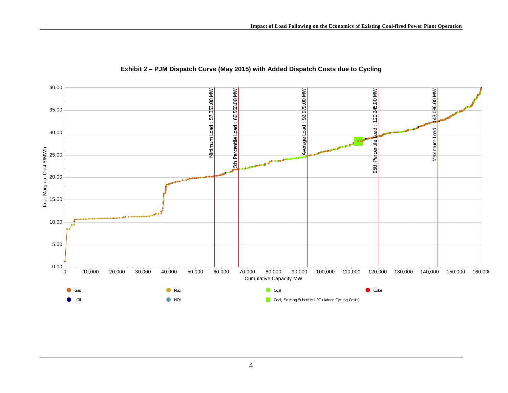<span id="page-9-0"></span>

#### **Exhibit 2 – PJM Dispatch Curve (May 2015) with Added Dispatch Costs due to Cycling**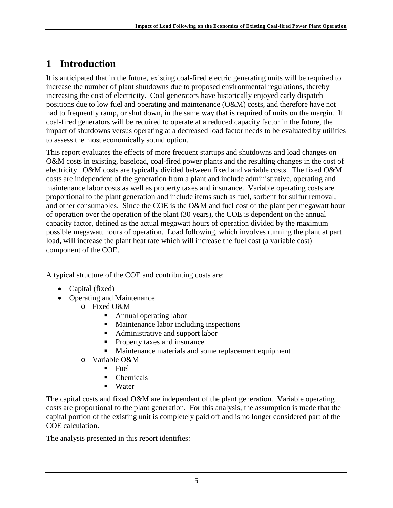## <span id="page-10-0"></span>**1 Introduction**

It is anticipated that in the future, existing coal-fired electric generating units will be required to increase the number of plant shutdowns due to proposed environmental regulations, thereby increasing the cost of electricity. Coal generators have historically enjoyed early dispatch positions due to low fuel and operating and maintenance (O&M) costs, and therefore have not had to frequently ramp, or shut down, in the same way that is required of units on the margin. If coal-fired generators will be required to operate at a reduced capacity factor in the future, the impact of shutdowns versus operating at a decreased load factor needs to be evaluated by utilities to assess the most economically sound option.

This report evaluates the effects of more frequent startups and shutdowns and load changes on O&M costs in existing, baseload, coal-fired power plants and the resulting changes in the cost of electricity. O&M costs are typically divided between fixed and variable costs. The fixed O&M costs are independent of the generation from a plant and include administrative, operating and maintenance labor costs as well as property taxes and insurance. Variable operating costs are proportional to the plant generation and include items such as fuel, sorbent for sulfur removal, and other consumables. Since the COE is the O&M and fuel cost of the plant per megawatt hour of operation over the operation of the plant (30 years), the COE is dependent on the annual capacity factor, defined as the actual megawatt hours of operation divided by the maximum possible megawatt hours of operation. Load following, which involves running the plant at part load, will increase the plant heat rate which will increase the fuel cost (a variable cost) component of the COE.

A typical structure of the COE and contributing costs are:

- Capital (fixed)
- Operating and Maintenance
	- o Fixed O&M
		- Annual operating labor
		- Maintenance labor including inspections
		- Administrative and support labor
		- **Property taxes and insurance**
		- Maintenance materials and some replacement equipment
	- o Variable O&M
		- Fuel
		- Chemicals
		- **Water**

The capital costs and fixed O&M are independent of the plant generation. Variable operating costs are proportional to the plant generation. For this analysis, the assumption is made that the capital portion of the existing unit is completely paid off and is no longer considered part of the COE calculation.

The analysis presented in this report identifies: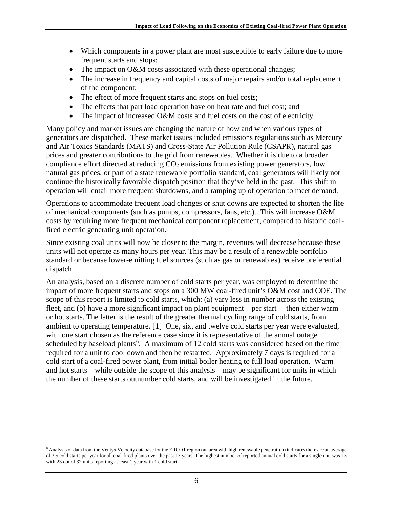- Which components in a power plant are most susceptible to early failure due to more frequent starts and stops;
- The impact on O&M costs associated with these operational changes;
- The increase in frequency and capital costs of major repairs and/or total replacement of the component;
- The effect of more frequent starts and stops on fuel costs;
- The effects that part load operation have on heat rate and fuel cost; and
- The impact of increased O&M costs and fuel costs on the cost of electricity.

Many policy and market issues are changing the nature of how and when various types of generators are dispatched. These market issues included emissions regulations such as Mercury and Air Toxics Standards (MATS) and Cross-State Air Pollution Rule (CSAPR), natural gas prices and greater contributions to the grid from renewables. Whether it is due to a broader compliance effort directed at reducing  $CO<sub>2</sub>$  emissions from existing power generators, low natural gas prices, or part of a state renewable portfolio standard, coal generators will likely not continue the historically favorable dispatch position that they've held in the past. This shift in operation will entail more frequent shutdowns, and a ramping up of operation to meet demand.

Operations to accommodate frequent load changes or shut downs are expected to shorten the life of mechanical components (such as pumps, compressors, fans, etc.). This will increase O&M costs by requiring more frequent mechanical component replacement, compared to historic coalfired electric generating unit operation.

Since existing coal units will now be closer to the margin, revenues will decrease because these units will not operate as many hours per year. This may be a result of a renewable portfolio standard or because lower-emitting fuel sources (such as gas or renewables) receive preferential dispatch.

<span id="page-11-1"></span>An analysis, based on a discrete number of cold starts per year, was employed to determine the impact of more frequent starts and stops on a 300 MW coal-fired unit's O&M cost and COE. The scope of this report is limited to cold starts, which: (a) vary less in number across the existing fleet, and (b) have a more significant impact on plant equipment – per start – then either warm or hot starts. The latter is the result of the greater thermal cycling range of cold starts, from ambient to operating temperature. [[1](#page-35-1)] One, six, and twelve cold starts per year were evaluated, with one start chosen as the reference case since it is representative of the annual outage scheduled by baseload plants<sup>[6](#page-11-0)</sup>. A maximum of 12 cold starts was considered based on the time required for a unit to cool down and then be restarted. Approximately 7 days is required for a cold start of a coal-fired power plant, from initial boiler heating to full load operation. Warm and hot starts – while outside the scope of this analysis – may be significant for units in which the number of these starts outnumber cold starts, and will be investigated in the future.

 $\overline{a}$ 

<span id="page-11-0"></span><sup>6</sup> Analysis of data from the Ventyx Velocity database for the ERCOT region (an area with high renewable penetration) indicates there are an average of 3.5 cold starts per year for all coal-fired plants over the past 13 years. The highest number of reported annual cold starts for a single unit was 13 with 23 out of 32 units reporting at least 1 year with 1 cold start.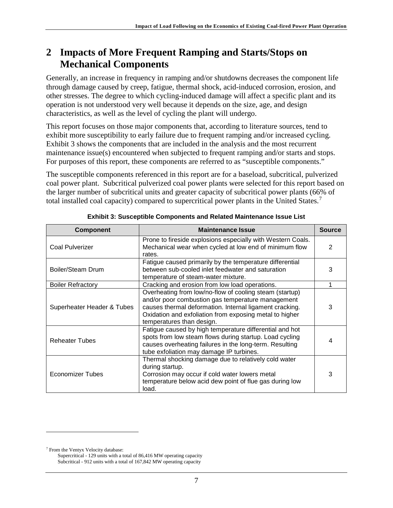### <span id="page-12-0"></span>**2 Impacts of More Frequent Ramping and Starts/Stops on Mechanical Components**

Generally, an increase in frequency in ramping and/or shutdowns decreases the component life through damage caused by creep, fatigue, thermal shock, acid-induced corrosion, erosion, and other stresses. The degree to which cycling-induced damage will affect a specific plant and its operation is not understood very well because it depends on the size, age, and design characteristics, as well as the level of cycling the plant will undergo.

This report focuses on those major components that, according to literature sources, tend to exhibit more susceptibility to early failure due to frequent ramping and/or increased cycling. [Exhibit 3](#page-12-1) shows the components that are included in the analysis and the most recurrent maintenance issue(s) encountered when subjected to frequent ramping and/or starts and stops. For purposes of this report, these components are referred to as "susceptible components."

The susceptible components referenced in this report are for a baseload, subcritical, pulverized coal power plant. Subcritical pulverized coal power plants were selected for this report based on the larger number of subcritical units and greater capacity of subcritical power plants (66% of total installed coal capacity) compared to supercritical power plants in the United States.<sup>[7](#page-12-3)</sup>

<span id="page-12-1"></span>

| <b>Component</b>           | <b>Maintenance Issue</b>                                                                                                                                                                                                                                        | <b>Source</b> |  |
|----------------------------|-----------------------------------------------------------------------------------------------------------------------------------------------------------------------------------------------------------------------------------------------------------------|---------------|--|
| <b>Coal Pulverizer</b>     | Prone to fireside explosions especially with Western Coals.<br>Mechanical wear when cycled at low end of minimum flow<br>rates.                                                                                                                                 |               |  |
| Boiler/Steam Drum          | Fatigue caused primarily by the temperature differential<br>between sub-cooled inlet feedwater and saturation<br>temperature of steam-water mixture.                                                                                                            | 3             |  |
| <b>Boiler Refractory</b>   | Cracking and erosion from low load operations.                                                                                                                                                                                                                  |               |  |
| Superheater Header & Tubes | Overheating from low/no-flow of cooling steam (startup)<br>and/or poor combustion gas temperature management<br>causes thermal deformation. Internal ligament cracking.<br>Oxidation and exfoliation from exposing metal to higher<br>temperatures than design. | 3             |  |
| <b>Reheater Tubes</b>      | Fatigue caused by high temperature differential and hot<br>spots from low steam flows during startup. Load cycling<br>causes overheating failures in the long-term. Resulting<br>tube exfoliation may damage IP turbines.                                       |               |  |
| Economizer Tubes           | Thermal shocking damage due to relatively cold water<br>during startup.<br>Corrosion may occur if cold water lowers metal<br>temperature below acid dew point of flue gas during low<br>load.                                                                   | 3             |  |

<span id="page-12-5"></span><span id="page-12-4"></span><span id="page-12-2"></span>

| <b>Exhibit 3: Susceptible Components and Related Maintenance Issue List</b> |  |  |  |
|-----------------------------------------------------------------------------|--|--|--|
|                                                                             |  |  |  |

 $\overline{a}$ 

<span id="page-12-3"></span><sup>7</sup> From the Ventyx Velocity database:

Supercritical - 129 units with a total of 86,416 MW operating capacity Subcritical - 912 units with a total of 167,842 MW operating capacity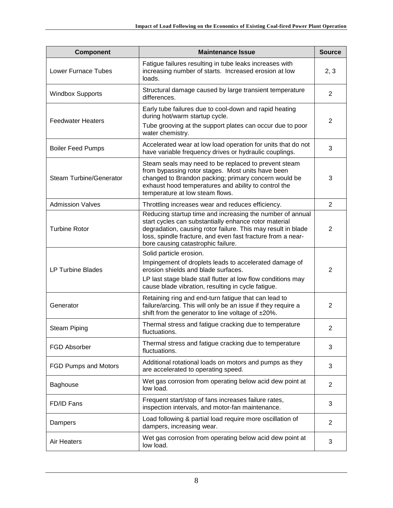| <b>Component</b>               | <b>Maintenance Issue</b>                                                                                                                                                                                                                                                                |                |  |  |  |
|--------------------------------|-----------------------------------------------------------------------------------------------------------------------------------------------------------------------------------------------------------------------------------------------------------------------------------------|----------------|--|--|--|
| <b>Lower Furnace Tubes</b>     | Fatigue failures resulting in tube leaks increases with<br>increasing number of starts. Increased erosion at low<br>loads.                                                                                                                                                              |                |  |  |  |
| <b>Windbox Supports</b>        | Structural damage caused by large transient temperature<br>differences.                                                                                                                                                                                                                 | 2              |  |  |  |
| <b>Feedwater Heaters</b>       | Early tube failures due to cool-down and rapid heating<br>during hot/warm startup cycle.<br>Tube grooving at the support plates can occur due to poor<br>water chemistry.                                                                                                               | 2              |  |  |  |
| <b>Boiler Feed Pumps</b>       | Accelerated wear at low load operation for units that do not<br>have variable frequency drives or hydraulic couplings.                                                                                                                                                                  | 3              |  |  |  |
| <b>Steam Turbine/Generator</b> | Steam seals may need to be replaced to prevent steam<br>from bypassing rotor stages. Most units have been<br>changed to Brandon packing; primary concern would be<br>exhaust hood temperatures and ability to control the<br>temperature at low steam flows.                            | 3              |  |  |  |
| <b>Admission Valves</b>        | Throttling increases wear and reduces efficiency.                                                                                                                                                                                                                                       | 2              |  |  |  |
| <b>Turbine Rotor</b>           | Reducing startup time and increasing the number of annual<br>start cycles can substantially enhance rotor material<br>degradation, causing rotor failure. This may result in blade<br>loss, spindle fracture, and even fast fracture from a near-<br>bore causing catastrophic failure. | 2              |  |  |  |
| <b>LP Turbine Blades</b>       | Solid particle erosion.<br>Impingement of droplets leads to accelerated damage of<br>erosion shields and blade surfaces.<br>LP last stage blade stall flutter at low flow conditions may<br>cause blade vibration, resulting in cycle fatigue.                                          | 2              |  |  |  |
| Generator                      | Retaining ring and end-turn fatigue that can lead to<br>failure/arcing. This will only be an issue if they require a<br>shift from the generator to line voltage of ±20%.                                                                                                               | 2              |  |  |  |
| <b>Steam Piping</b>            | Thermal stress and fatigue cracking due to temperature<br>fluctuations.                                                                                                                                                                                                                 | $\overline{2}$ |  |  |  |
| FGD Absorber                   | Thermal stress and fatigue cracking due to temperature<br>fluctuations.                                                                                                                                                                                                                 | 3              |  |  |  |
| FGD Pumps and Motors           | Additional rotational loads on motors and pumps as they<br>are accelerated to operating speed.                                                                                                                                                                                          | 3              |  |  |  |
| Baghouse                       | Wet gas corrosion from operating below acid dew point at<br>low load.                                                                                                                                                                                                                   | 2              |  |  |  |
| FD/ID Fans                     | Frequent start/stop of fans increases failure rates,<br>inspection intervals, and motor-fan maintenance.                                                                                                                                                                                | 3              |  |  |  |
| Dampers                        | Load following & partial load require more oscillation of<br>dampers, increasing wear.                                                                                                                                                                                                  | $\overline{2}$ |  |  |  |
| <b>Air Heaters</b>             | Wet gas corrosion from operating below acid dew point at<br>low load.                                                                                                                                                                                                                   | 3              |  |  |  |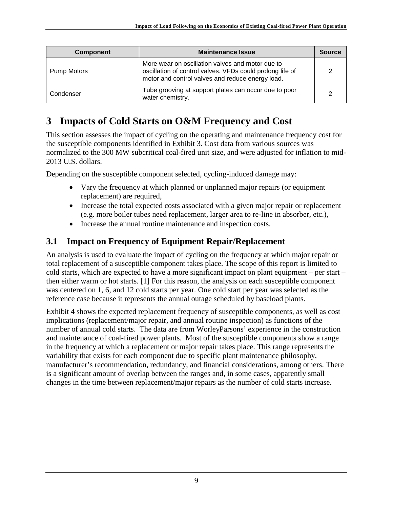| <b>Component</b>   | <b>Maintenance Issue</b>                                                                                                                                          |  |  |  |
|--------------------|-------------------------------------------------------------------------------------------------------------------------------------------------------------------|--|--|--|
| <b>Pump Motors</b> | More wear on oscillation valves and motor due to<br>oscillation of control valves. VFDs could prolong life of<br>motor and control valves and reduce energy load. |  |  |  |
| Condenser          | Tube grooving at support plates can occur due to poor<br>water chemistry.                                                                                         |  |  |  |

### <span id="page-14-0"></span>**3 Impacts of Cold Starts on O&M Frequency and Cost**

This section assesses the impact of cycling on the operating and maintenance frequency cost for the susceptible components identified in [Exhibit 3.](#page-12-1) Cost data from various sources was normalized to the 300 MW subcritical coal-fired unit size, and were adjusted for inflation to mid-2013 U.S. dollars.

Depending on the susceptible component selected, cycling-induced damage may:

- Vary the frequency at which planned or unplanned major repairs (or equipment replacement) are required,
- Increase the total expected costs associated with a given major repair or replacement (e.g. more boiler tubes need replacement, larger area to re-line in absorber, etc.),
- <span id="page-14-1"></span>• Increase the annual routine maintenance and inspection costs.

#### **3.1 Impact on Frequency of Equipment Repair/Replacement**

An analysis is used to evaluate the impact of cycling on the frequency at which major repair or total replacement of a susceptible component takes place. The scope of this report is limited to cold starts, which are expected to have a more significant impact on plant equipment – per start – then either warm or hot starts. [\[1\]](#page-11-1) For this reason, the analysis on each susceptible component was centered on 1, 6, and 12 cold starts per year. One cold start per year was selected as the reference case because it represents the annual outage scheduled by baseload plants.

[Exhibit 4](#page-15-0) shows the expected replacement frequency of susceptible components, as well as cost implications (replacement/major repair, and annual routine inspection) as functions of the number of annual cold starts. The data are from WorleyParsons' experience in the construction and maintenance of coal-fired power plants. Most of the susceptible components show a range in the frequency at which a replacement or major repair takes place. This range represents the variability that exists for each component due to specific plant maintenance philosophy, manufacturer's recommendation, redundancy, and financial considerations, among others. There is a significant amount of overlap between the ranges and, in some cases, apparently small changes in the time between replacement/major repairs as the number of cold starts increase.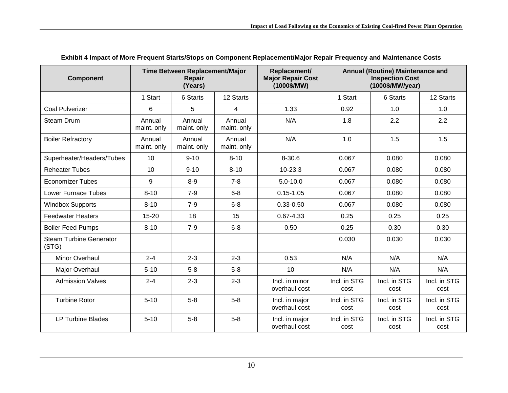<span id="page-15-0"></span>

| <b>Component</b>                        | Time Between Replacement/Major<br>Repair<br>(Years) |                       | Replacement/<br><b>Major Repair Cost</b><br>(1000\$/MW) | <b>Annual (Routine) Maintenance and</b><br><b>Inspection Cost</b><br>(1000\$/MW/year) |                      |                      |                      |
|-----------------------------------------|-----------------------------------------------------|-----------------------|---------------------------------------------------------|---------------------------------------------------------------------------------------|----------------------|----------------------|----------------------|
|                                         | 1 Start                                             | 6 Starts              | 12 Starts                                               |                                                                                       | 1 Start              | 6 Starts             | 12 Starts            |
| Coal Pulverizer                         | 6                                                   | 5                     | 4                                                       | 1.33                                                                                  | 0.92                 | 1.0                  | 1.0                  |
| <b>Steam Drum</b>                       | Annual<br>maint. only                               | Annual<br>maint. only | Annual<br>maint. only                                   | N/A                                                                                   | 1.8                  | 2.2                  | 2.2                  |
| <b>Boiler Refractory</b>                | Annual<br>maint. only                               | Annual<br>maint. only | Annual<br>maint. only                                   | N/A                                                                                   | 1.0                  | 1.5                  | 1.5                  |
| Superheater/Headers/Tubes               | 10                                                  | $9 - 10$              | $8 - 10$                                                | $8 - 30.6$                                                                            | 0.067                | 0.080                | 0.080                |
| <b>Reheater Tubes</b>                   | 10                                                  | $9 - 10$              | $8 - 10$                                                | $10 - 23.3$                                                                           | 0.067                | 0.080                | 0.080                |
| <b>Economizer Tubes</b>                 | 9                                                   | $8-9$                 | $7 - 8$                                                 | $5.0 - 10.0$                                                                          | 0.067                | 0.080                | 0.080                |
| <b>Lower Furnace Tubes</b>              | $8 - 10$                                            | $7-9$                 | $6 - 8$                                                 | $0.15 - 1.05$                                                                         | 0.067                | 0.080                | 0.080                |
| <b>Windbox Supports</b>                 | $8 - 10$                                            | $7 - 9$               | $6 - 8$                                                 | $0.33 - 0.50$                                                                         | 0.067                | 0.080                | 0.080                |
| <b>Feedwater Heaters</b>                | $15 - 20$                                           | 18                    | 15                                                      | $0.67 - 4.33$                                                                         | 0.25                 | 0.25                 | 0.25                 |
| <b>Boiler Feed Pumps</b>                | $8 - 10$                                            | $7 - 9$               | $6 - 8$                                                 | 0.50                                                                                  | 0.25                 | 0.30                 | 0.30                 |
| <b>Steam Turbine Generator</b><br>(STG) |                                                     |                       |                                                         |                                                                                       | 0.030                | 0.030                | 0.030                |
| Minor Overhaul                          | $2 - 4$                                             | $2 - 3$               | $2 - 3$                                                 | 0.53                                                                                  | N/A                  | N/A                  | N/A                  |
| Major Overhaul                          | $5 - 10$                                            | $5-8$                 | $5-8$                                                   | 10                                                                                    | N/A                  | N/A                  | N/A                  |
| <b>Admission Valves</b>                 | $2 - 4$                                             | $2 - 3$               | $2 - 3$                                                 | Incl. in minor<br>overhaul cost                                                       | Incl. in STG<br>cost | Incl. in STG<br>cost | Incl. in STG<br>cost |
| <b>Turbine Rotor</b>                    | $5 - 10$                                            | $5 - 8$               | $5-8$                                                   | Incl. in major<br>overhaul cost                                                       | Incl. in STG<br>cost | Incl. in STG<br>cost | Incl. in STG<br>cost |
| LP Turbine Blades                       | $5 - 10$                                            | $5 - 8$               | $5-8$                                                   | Incl. in major<br>overhaul cost                                                       | Incl. in STG<br>cost | Incl. in STG<br>cost | Incl. in STG<br>cost |

#### **Exhibit 4 Impact of More Frequent Starts/Stops on Component Replacement/Major Repair Frequency and Maintenance Costs**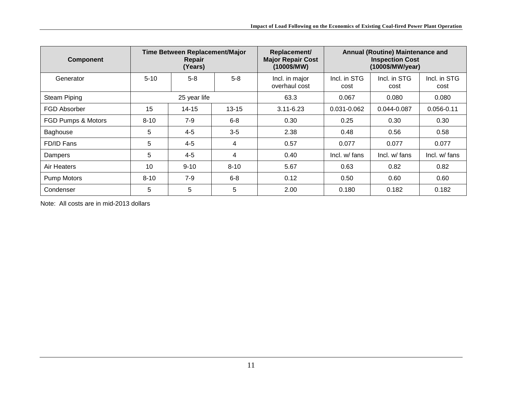| <b>Component</b>   | Time Between Replacement/Major<br>Repair<br>(Years) |              |           | Replacement/<br><b>Major Repair Cost</b><br>$(1000\$ /MW) | Annual (Routine) Maintenance and<br><b>Inspection Cost</b><br>(1000\$/MW/year) |                      |                      |
|--------------------|-----------------------------------------------------|--------------|-----------|-----------------------------------------------------------|--------------------------------------------------------------------------------|----------------------|----------------------|
| Generator          | $5 - 10$                                            | $5 - 8$      | $5 - 8$   | Incl. in major<br>overhaul cost                           | Incl. in STG<br>cost                                                           | Incl. in STG<br>cost | Incl. in STG<br>cost |
| Steam Piping       |                                                     | 25 year life |           | 63.3                                                      | 0.067                                                                          | 0.080                | 0.080                |
| FGD Absorber       | 15                                                  | $14 - 15$    | $13 - 15$ | $3.11 - 6.23$                                             | 0.031-0.062                                                                    | 0.044-0.087          | $0.056 - 0.11$       |
| FGD Pumps & Motors | $8 - 10$                                            | $7-9$        | $6 - 8$   | 0.30                                                      | 0.25                                                                           | 0.30                 | 0.30                 |
| Baghouse           | 5                                                   | $4 - 5$      | $3-5$     | 2.38                                                      | 0.48                                                                           | 0.56                 | 0.58                 |
| FD/ID Fans         | 5                                                   | $4 - 5$      | 4         | 0.57                                                      | 0.077                                                                          | 0.077                | 0.077                |
| Dampers            | 5                                                   | $4 - 5$      | 4         | 0.40                                                      | Incl. w/ fans                                                                  | Incl. w/ fans        | Incl. w/ fans        |
| Air Heaters        | 10                                                  | $9 - 10$     | $8 - 10$  | 5.67                                                      | 0.63                                                                           | 0.82                 | 0.82                 |
| <b>Pump Motors</b> | $8 - 10$                                            | $7-9$        | $6 - 8$   | 0.12                                                      | 0.50                                                                           | 0.60                 | 0.60                 |
| Condenser          | 5                                                   | 5            | 5         | 2.00                                                      | 0.180                                                                          | 0.182                | 0.182                |

Note: All costs are in mid-2013 dollars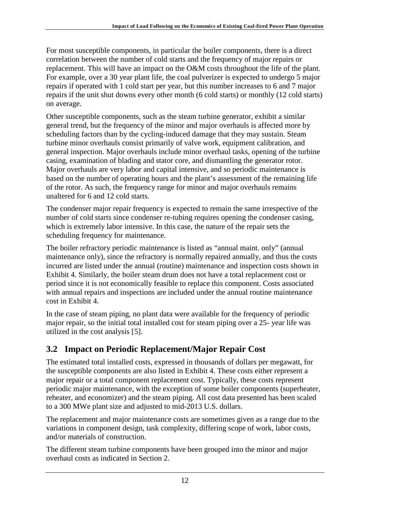For most susceptible components, in particular the boiler components, there is a direct correlation between the number of cold starts and the frequency of major repairs or replacement. This will have an impact on the O&M costs throughout the life of the plant. For example, over a 30 year plant life, the coal pulverizer is expected to undergo 5 major repairs if operated with 1 cold start per year, but this number increases to 6 and 7 major repairs if the unit shut downs every other month (6 cold starts) or monthly (12 cold starts) on average.

Other susceptible components, such as the steam turbine generator, exhibit a similar general trend, but the frequency of the minor and major overhauls is affected more by scheduling factors than by the cycling-induced damage that they may sustain. Steam turbine minor overhauls consist primarily of valve work, equipment calibration, and general inspection. Major overhauls include minor overhaul tasks, opening of the turbine casing, examination of blading and stator core, and dismantling the generator rotor. Major overhauls are very labor and capital intensive, and so periodic maintenance is based on the number of operating hours and the plant's assessment of the remaining life of the rotor. As such, the frequency range for minor and major overhauls remains unaltered for 6 and 12 cold starts.

The condenser major repair frequency is expected to remain the same irrespective of the number of cold starts since condenser re-tubing requires opening the condenser casing, which is extremely labor intensive. In this case, the nature of the repair sets the scheduling frequency for maintenance.

The boiler refractory periodic maintenance is listed as "annual maint. only" (annual maintenance only), since the refractory is normally repaired annually, and thus the costs incurred are listed under the annual (routine) maintenance and inspection costs shown in [Exhibit 4.](#page-15-0) Similarly, the boiler steam drum does not have a total replacement cost or period since it is not economically feasible to replace this component. Costs associated with annual repairs and inspections are included under the annual routine maintenance cost in [Exhibit 4.](#page-15-0)

<span id="page-17-1"></span>In the case of steam piping, no plant data were available for the frequency of periodic major repair, so the initial total installed cost for steam piping over a 25- year life was utilized in the cost analysis [[5](#page-35-5)].

### <span id="page-17-0"></span>**3.2 Impact on Periodic Replacement/Major Repair Cost**

The estimated total installed costs, expressed in thousands of dollars per megawatt, for the susceptible components are also listed in [Exhibit 4.](#page-15-0) These costs either represent a major repair or a total component replacement cost. Typically, these costs represent periodic major maintenance, with the exception of some boiler components (superheater, reheater, and economizer) and the steam piping. All cost data presented has been scaled to a 300 MWe plant size and adjusted to mid-2013 U.S. dollars.

The replacement and major maintenance costs are sometimes given as a range due to the variations in component design, task complexity, differing scope of work, labor costs, and/or materials of construction.

The different steam turbine components have been grouped into the minor and major overhaul costs as indicated in Section [2.](#page-12-0)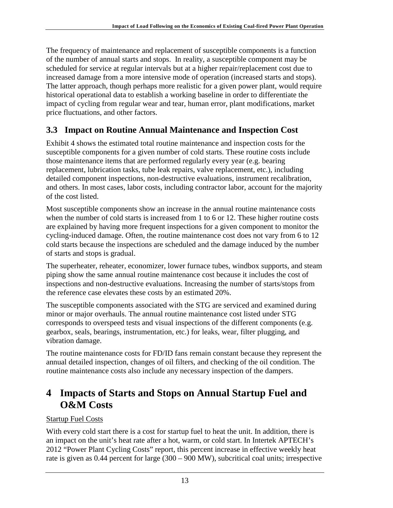The frequency of maintenance and replacement of susceptible components is a function of the number of annual starts and stops. In reality, a susceptible component may be scheduled for service at regular intervals but at a higher repair/replacement cost due to increased damage from a more intensive mode of operation (increased starts and stops). The latter approach, though perhaps more realistic for a given power plant, would require historical operational data to establish a working baseline in order to differentiate the impact of cycling from regular wear and tear, human error, plant modifications, market price fluctuations, and other factors.

### <span id="page-18-0"></span>**3.3 Impact on Routine Annual Maintenance and Inspection Cost**

[Exhibit 4](#page-15-0) shows the estimated total routine maintenance and inspection costs for the susceptible components for a given number of cold starts. These routine costs include those maintenance items that are performed regularly every year (e.g. bearing replacement, lubrication tasks, tube leak repairs, valve replacement, etc.), including detailed component inspections, non-destructive evaluations, instrument recalibration, and others. In most cases, labor costs, including contractor labor, account for the majority of the cost listed.

Most susceptible components show an increase in the annual routine maintenance costs when the number of cold starts is increased from 1 to 6 or 12. These higher routine costs are explained by having more frequent inspections for a given component to monitor the cycling-induced damage. Often, the routine maintenance cost does not vary from 6 to 12 cold starts because the inspections are scheduled and the damage induced by the number of starts and stops is gradual.

The superheater, reheater, economizer, lower furnace tubes, windbox supports, and steam piping show the same annual routine maintenance cost because it includes the cost of inspections and non-destructive evaluations. Increasing the number of starts/stops from the reference case elevates these costs by an estimated 20%.

The susceptible components associated with the STG are serviced and examined during minor or major overhauls. The annual routine maintenance cost listed under STG corresponds to overspeed tests and visual inspections of the different components (e.g. gearbox, seals, bearings, instrumentation, etc.) for leaks, wear, filter plugging, and vibration damage.

The routine maintenance costs for FD/ID fans remain constant because they represent the annual detailed inspection, changes of oil filters, and checking of the oil condition. The routine maintenance costs also include any necessary inspection of the dampers.

### <span id="page-18-1"></span>**4 Impacts of Starts and Stops on Annual Startup Fuel and O&M Costs**

#### Startup Fuel Costs

With every cold start there is a cost for startup fuel to heat the unit. In addition, there is an impact on the unit's heat rate after a hot, warm, or cold start. In Intertek APTECH's 2012 "Power Plant Cycling Costs" report, this percent increase in effective weekly heat rate is given as 0.44 percent for large (300 – 900 MW), subcritical coal units; irrespective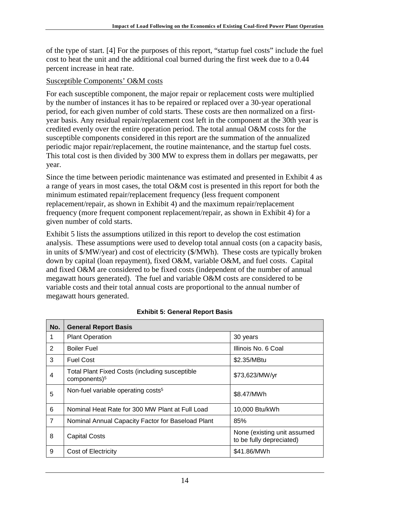of the type of start. [\[4\]](#page-12-5) For the purposes of this report, "startup fuel costs" include the fuel cost to heat the unit and the additional coal burned during the first week due to a 0.44 percent increase in heat rate.

#### Susceptible Components' O&M costs

For each susceptible component, the major repair or replacement costs were multiplied by the number of instances it has to be repaired or replaced over a 30-year operational period, for each given number of cold starts. These costs are then normalized on a firstyear basis. Any residual repair/replacement cost left in the component at the 30th year is credited evenly over the entire operation period. The total annual O&M costs for the susceptible components considered in this report are the summation of the annualized periodic major repair/replacement, the routine maintenance, and the startup fuel costs. This total cost is then divided by 300 MW to express them in dollars per megawatts, per year.

Since the time between periodic maintenance was estimated and presented in [Exhibit 4](#page-15-0) as a range of years in most cases, the total O&M cost is presented in this report for both the minimum estimated repair/replacement frequency (less frequent component replacement/repair, as shown in [Exhibit 4\)](#page-15-0) and the maximum repair/replacement frequency (more frequent component replacement/repair, as shown in [Exhibit 4\)](#page-15-0) for a given number of cold starts.

[Exhibit 5](#page-19-0) lists the assumptions utilized in this report to develop the cost estimation analysis. These assumptions were used to develop total annual costs (on a capacity basis, in units of \$/MW/year) and cost of electricity (\$/MWh). These costs are typically broken down by capital (loan repayment), fixed O&M, variable O&M, and fuel costs. Capital and fixed O&M are considered to be fixed costs (independent of the number of annual megawatt hours generated). The fuel and variable O&M costs are considered to be variable costs and their total annual costs are proportional to the annual number of megawatt hours generated.

<span id="page-19-0"></span>

| No.            | <b>General Report Basis</b>                                                       |                                                         |  |  |
|----------------|-----------------------------------------------------------------------------------|---------------------------------------------------------|--|--|
|                | <b>Plant Operation</b>                                                            | 30 years                                                |  |  |
| 2              | <b>Boiler Fuel</b>                                                                | Illinois No. 6 Coal                                     |  |  |
| 3              | <b>Fuel Cost</b>                                                                  | \$2.35/MBtu                                             |  |  |
| 4              | <b>Total Plant Fixed Costs (including susceptible</b><br>components) <sup>5</sup> | \$73,623/MW/yr                                          |  |  |
| 5              | Non-fuel variable operating costs <sup>5</sup>                                    | \$8.47/MWh                                              |  |  |
| 6              | Nominal Heat Rate for 300 MW Plant at Full Load                                   | 10,000 Btu/kWh                                          |  |  |
| $\overline{7}$ | Nominal Annual Capacity Factor for Baseload Plant                                 | 85%                                                     |  |  |
| 8              | <b>Capital Costs</b>                                                              | None (existing unit assumed<br>to be fully depreciated) |  |  |
| 9              | Cost of Electricity                                                               | \$41.86/MWh                                             |  |  |

#### **Exhibit 5: General Report Basis**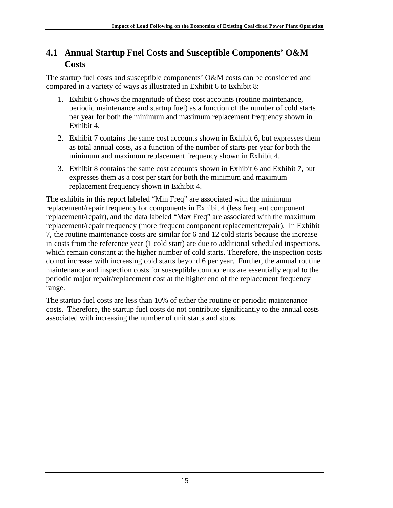### <span id="page-20-0"></span>**4.1 Annual Startup Fuel Costs and Susceptible Components' O&M Costs**

The startup fuel costs and susceptible components' O&M costs can be considered and compared in a variety of ways as illustrated in [Exhibit 6](#page-21-0) to [Exhibit 8:](#page-23-1)

- 1. [Exhibit 6](#page-21-0) shows the magnitude of these cost accounts (routine maintenance, periodic maintenance and startup fuel) as a function of the number of cold starts per year for both the minimum and maximum replacement frequency shown in [Exhibit 4.](#page-15-0)
- 2. [Exhibit 7](#page-22-0) contains the same cost accounts shown in [Exhibit 6,](#page-21-0) but expresses them as total annual costs, as a function of the number of starts per year for both the minimum and maximum replacement frequency shown in [Exhibit 4.](#page-15-0)
- 3. [Exhibit 8](#page-23-1) contains the same cost accounts shown in [Exhibit 6](#page-21-0) and [Exhibit 7,](#page-22-0) but expresses them as a cost per start for both the minimum and maximum replacement frequency shown in [Exhibit 4.](#page-15-0)

The exhibits in this report labeled "Min Freq" are associated with the minimum replacement/repair frequency for components in [Exhibit 4](#page-15-0) (less frequent component replacement/repair), and the data labeled "Max Freq" are associated with the maximum replacement/repair frequency (more frequent component replacement/repair). In [Exhibit](#page-22-0)  [7,](#page-22-0) the routine maintenance costs are similar for 6 and 12 cold starts because the increase in costs from the reference year (1 cold start) are due to additional scheduled inspections, which remain constant at the higher number of cold starts. Therefore, the inspection costs do not increase with increasing cold starts beyond 6 per year. Further, the annual routine maintenance and inspection costs for susceptible components are essentially equal to the periodic major repair/replacement cost at the higher end of the replacement frequency range.

The startup fuel costs are less than 10% of either the routine or periodic maintenance costs. Therefore, the startup fuel costs do not contribute significantly to the annual costs associated with increasing the number of unit starts and stops.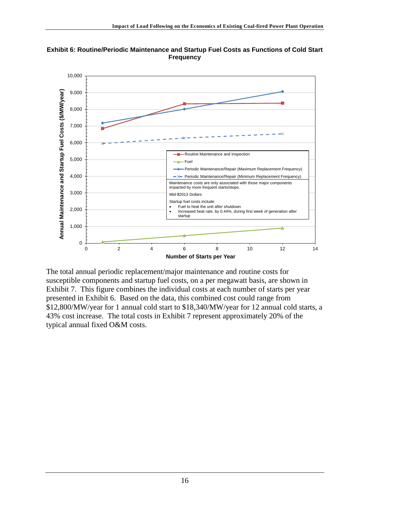<span id="page-21-0"></span>



The total annual periodic replacement/major maintenance and routine costs for susceptible components and startup fuel costs, on a per megawatt basis, are shown in [Exhibit 7.](#page-22-0) This figure combines the individual costs at each number of starts per year presented in [Exhibit 6.](#page-21-0) Based on the data, this combined cost could range from \$12,800/MW/year for 1 annual cold start to \$18,340/MW/year for 12 annual cold starts, a 43% cost increase. The total costs in [Exhibit 7](#page-22-0) represent approximately 20% of the typical annual fixed O&M costs.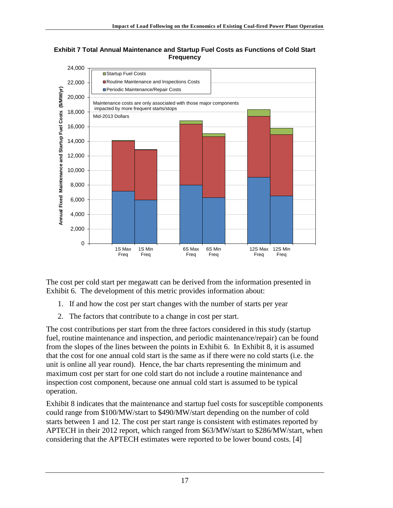#### <span id="page-22-0"></span>**Exhibit 7 Total Annual Maintenance and Startup Fuel Costs as Functions of Cold Start Frequency**



The cost per cold start per megawatt can be derived from the information presented in [Exhibit 6.](#page-21-0) The development of this metric provides information about:

- 1. If and how the cost per start changes with the number of starts per year
- 2. The factors that contribute to a change in cost per start.

The cost contributions per start from the three factors considered in this study (startup fuel, routine maintenance and inspection, and periodic maintenance/repair) can be found from the slopes of the lines between the points in [Exhibit 6.](#page-21-0) In [Exhibit 8,](#page-23-1) it is assumed that the cost for one annual cold start is the same as if there were no cold starts (i.e. the unit is online all year round). Hence, the bar charts representing the minimum and maximum cost per start for one cold start do not include a routine maintenance and inspection cost component, because one annual cold start is assumed to be typical operation.

[Exhibit 8](#page-23-1) indicates that the maintenance and startup fuel costs for susceptible components could range from \$100/MW/start to \$490/MW/start depending on the number of cold starts between 1 and 12. The cost per start range is consistent with estimates reported by APTECH in their 2012 report, which ranged from \$63/MW/start to \$286/MW/start, when considering that the APTECH estimates were reported to be lower bound costs. [\[4\]](#page-12-5)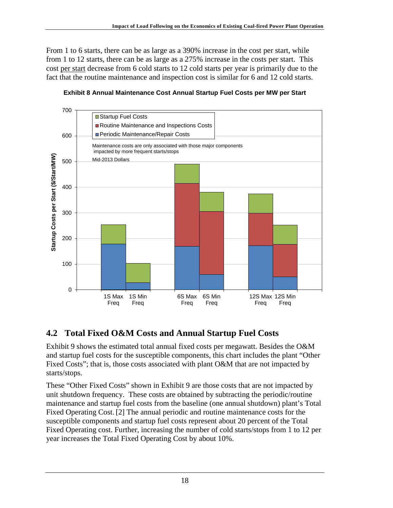From 1 to 6 starts, there can be as large as a 390% increase in the cost per start, while from 1 to 12 starts, there can be as large as a 275% increase in the costs per start. This cost per start decrease from 6 cold starts to 12 cold starts per year is primarily due to the fact that the routine maintenance and inspection cost is similar for 6 and 12 cold starts.

<span id="page-23-1"></span>

**Exhibit 8 Annual Maintenance Cost Annual Startup Fuel Costs per MW per Start**

### <span id="page-23-0"></span>**4.2 Total Fixed O&M Costs and Annual Startup Fuel Costs**

[Exhibit 9](#page-24-1) shows the estimated total annual fixed costs per megawatt. Besides the O&M and startup fuel costs for the susceptible components, this chart includes the plant "Other Fixed Costs"; that is, those costs associated with plant O&M that are not impacted by starts/stops.

These "Other Fixed Costs" shown in [Exhibit 9](#page-24-1) are those costs that are not impacted by unit shutdown frequency. These costs are obtained by subtracting the periodic/routine maintenance and startup fuel costs from the baseline (one annual shutdown) plant's Total Fixed Operating Cost. [\[2\]](#page-12-4) The annual periodic and routine maintenance costs for the susceptible components and startup fuel costs represent about 20 percent of the Total Fixed Operating cost. Further, increasing the number of cold starts/stops from 1 to 12 per year increases the Total Fixed Operating Cost by about 10%.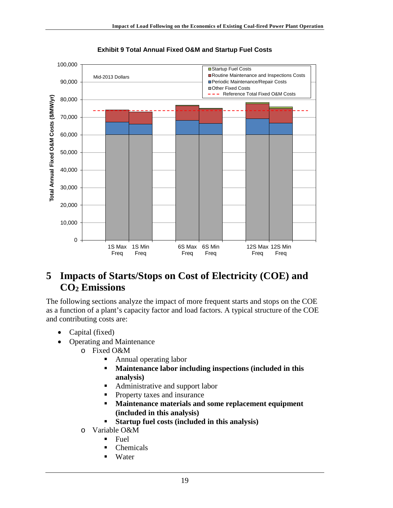<span id="page-24-1"></span>

**Exhibit 9 Total Annual Fixed O&M and Startup Fuel Costs**

### <span id="page-24-0"></span>**5 Impacts of Starts/Stops on Cost of Electricity (COE) and CO2 Emissions**

The following sections analyze the impact of more frequent starts and stops on the COE as a function of a plant's capacity factor and load factors. A typical structure of the COE and contributing costs are:

- Capital (fixed)
- Operating and Maintenance
	- o Fixed O&M
		- Annual operating labor
		- **Maintenance labor including inspections (included in this analysis)**
		- Administrative and support labor
		- Property taxes and insurance
		- **Maintenance materials and some replacement equipment (included in this analysis)**
		- **Startup fuel costs (included in this analysis)**
	- o Variable O&M
		- Fuel
		- Chemicals
		- Water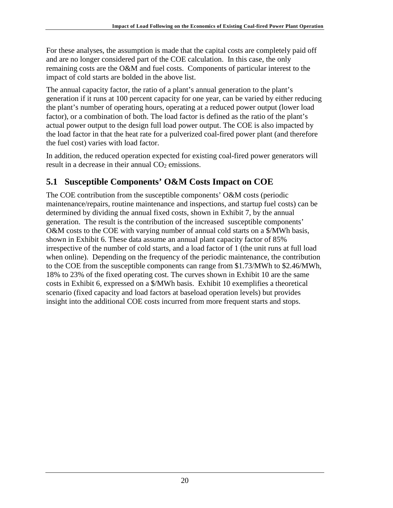For these analyses, the assumption is made that the capital costs are completely paid off and are no longer considered part of the COE calculation. In this case, the only remaining costs are the O&M and fuel costs. Components of particular interest to the impact of cold starts are bolded in the above list.

The annual capacity factor, the ratio of a plant's annual generation to the plant's generation if it runs at 100 percent capacity for one year, can be varied by either reducing the plant's number of operating hours, operating at a reduced power output (lower load factor), or a combination of both. The load factor is defined as the ratio of the plant's actual power output to the design full load power output. The COE is also impacted by the load factor in that the heat rate for a pulverized coal-fired power plant (and therefore the fuel cost) varies with load factor.

In addition, the reduced operation expected for existing coal-fired power generators will result in a decrease in their annual  $CO<sub>2</sub>$  emissions.

#### <span id="page-25-0"></span>**5.1 Susceptible Components' O&M Costs Impact on COE**

The COE contribution from the susceptible components' O&M costs (periodic maintenance/repairs, routine maintenance and inspections, and startup fuel costs) can be determined by dividing the annual fixed costs, shown in [Exhibit 7,](#page-22-0) by the annual generation. The result is the contribution of the increased susceptible components' O&M costs to the COE with varying number of annual cold starts on a \$/MWh basis, shown in [Exhibit 6.](#page-21-0) These data assume an annual plant capacity factor of 85% irrespective of the number of cold starts, and a load factor of 1 (the unit runs at full load when online). Depending on the frequency of the periodic maintenance, the contribution to the COE from the susceptible components can range from \$1.73/MWh to \$2.46/MWh, 18% to 23% of the fixed operating cost. The curves shown in [Exhibit 10](#page-26-1) are the same costs in [Exhibit 6,](#page-21-0) expressed on a \$/MWh basis. [Exhibit 10](#page-26-1) exemplifies a theoretical scenario (fixed capacity and load factors at baseload operation levels) but provides insight into the additional COE costs incurred from more frequent starts and stops.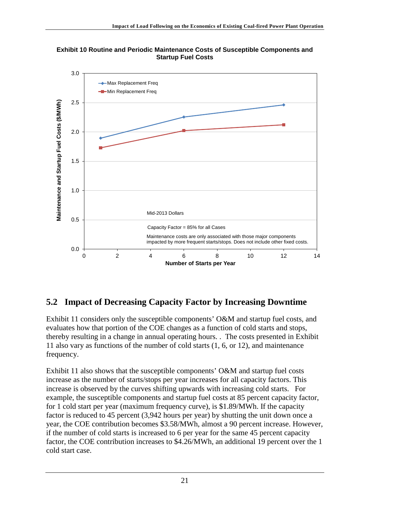<span id="page-26-1"></span>



### <span id="page-26-0"></span>**5.2 Impact of Decreasing Capacity Factor by Increasing Downtime**

[Exhibit 11](#page-27-1) considers only the susceptible components' O&M and startup fuel costs, and evaluates how that portion of the COE changes as a function of cold starts and stops, thereby resulting in a change in annual operating hours. . The costs presented in [Exhibit](#page-27-1)  [11](#page-27-1) also vary as functions of the number of cold starts (1, 6, or 12), and maintenance frequency.

[Exhibit 11](#page-27-1) also shows that the susceptible components' O&M and startup fuel costs increase as the number of starts/stops per year increases for all capacity factors. This increase is observed by the curves shifting upwards with increasing cold starts. For example, the susceptible components and startup fuel costs at 85 percent capacity factor, for 1 cold start per year (maximum frequency curve), is \$1.89/MWh. If the capacity factor is reduced to 45 percent (3,942 hours per year) by shutting the unit down once a year, the COE contribution becomes \$3.58/MWh, almost a 90 percent increase. However, if the number of cold starts is increased to 6 per year for the same 45 percent capacity factor, the COE contribution increases to \$4.26/MWh, an additional 19 percent over the 1 cold start case.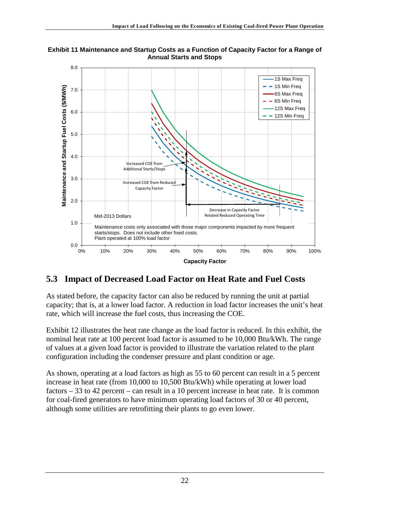

<span id="page-27-1"></span>**Exhibit 11 Maintenance and Startup Costs as a Function of Capacity Factor for a Range of Annual Starts and Stops**

### <span id="page-27-0"></span>**5.3 Impact of Decreased Load Factor on Heat Rate and Fuel Costs**

As stated before, the capacity factor can also be reduced by running the unit at partial capacity; that is, at a lower load factor. A reduction in load factor increases the unit's heat rate, which will increase the fuel costs, thus increasing the COE.

[Exhibit 12](#page-28-0) illustrates the heat rate change as the load factor is reduced. In this exhibit, the nominal heat rate at 100 percent load factor is assumed to be 10,000 Btu/kWh. The range of values at a given load factor is provided to illustrate the variation related to the plant configuration including the condenser pressure and plant condition or age.

As shown, operating at a load factors as high as 55 to 60 percent can result in a 5 percent increase in heat rate (from 10,000 to 10,500 Btu/kWh) while operating at lower load factors – 33 to 42 percent – can result in a 10 percent increase in heat rate. It is common for coal-fired generators to have minimum operating load factors of 30 or 40 percent, although some utilities are retrofitting their plants to go even lower.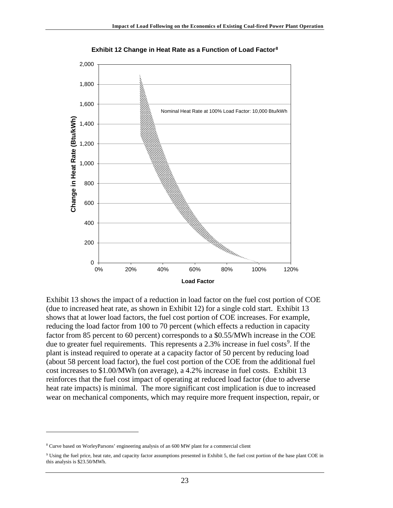<span id="page-28-0"></span>



[Exhibit 13](#page-29-1) shows the impact of a reduction in load factor on the fuel cost portion of COE (due to increased heat rate, as shown in [Exhibit 12\)](#page-28-0) for a single cold start. [Exhibit 13](#page-29-1) shows that at lower load factors, the fuel cost portion of COE increases. For example, reducing the load factor from 100 to 70 percent (which effects a reduction in capacity factor from 85 percent to 60 percent) corresponds to a \$0.55/MWh increase in the COE due to greater fuel requirements. This represents a  $2.3\%$  increase in fuel costs<sup>[9](#page-28-2)</sup>. If the plant is instead required to operate at a capacity factor of 50 percent by reducing load (about 58 percent load factor), the fuel cost portion of the COE from the additional fuel cost increases to \$1.00/MWh (on average), a 4.2% increase in fuel costs. [Exhibit 13](#page-29-1) reinforces that the fuel cost impact of operating at reduced load factor (due to adverse heat rate impacts) is minimal. The more significant cost implication is due to increased wear on mechanical components, which may require more frequent inspection, repair, or

 $\overline{a}$ 

<span id="page-28-1"></span><sup>8</sup> Curve based on WorleyParsons' engineering analysis of an 600 MW plant for a commercial client

<span id="page-28-2"></span><sup>9</sup> Using the fuel price, heat rate, and capacity factor assumptions presented i[n Exhibit 5,](#page-19-0) the fuel cost portion of the base plant COE in this analysis is \$23.50/MWh.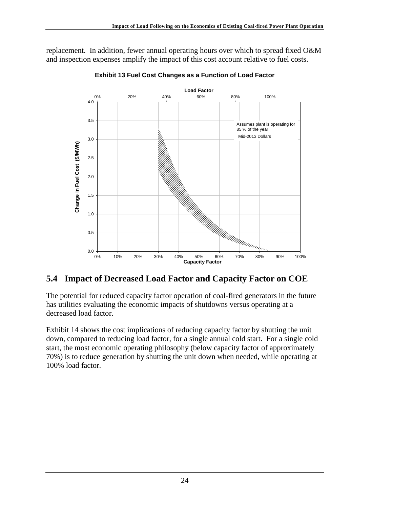<span id="page-29-1"></span>replacement. In addition, fewer annual operating hours over which to spread fixed O&M and inspection expenses amplify the impact of this cost account relative to fuel costs.



**Exhibit 13 Fuel Cost Changes as a Function of Load Factor**

### <span id="page-29-0"></span>**5.4 Impact of Decreased Load Factor and Capacity Factor on COE**

The potential for reduced capacity factor operation of coal-fired generators in the future has utilities evaluating the economic impacts of shutdowns versus operating at a decreased load factor.

[Exhibit 14](#page-30-0) shows the cost implications of reducing capacity factor by shutting the unit down, compared to reducing load factor, for a single annual cold start. For a single cold start, the most economic operating philosophy (below capacity factor of approximately 70%) is to reduce generation by shutting the unit down when needed, while operating at 100% load factor.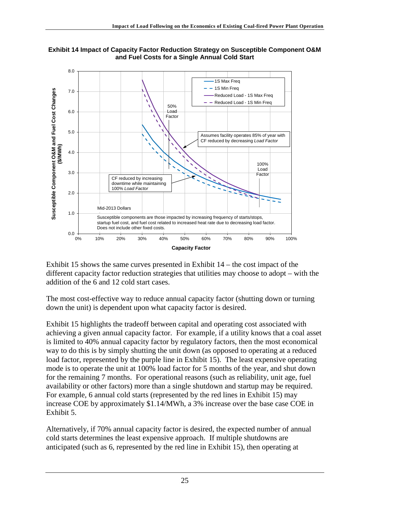

<span id="page-30-0"></span>**Exhibit 14 Impact of Capacity Factor Reduction Strategy on Susceptible Component O&M and Fuel Costs for a Single Annual Cold Start**

[Exhibit 15](#page-31-0) shows the same curves presented in [Exhibit 14](#page-30-0) – the cost impact of the different capacity factor reduction strategies that utilities may choose to adopt – with the addition of the 6 and 12 cold start cases.

The most cost-effective way to reduce annual capacity factor (shutting down or turning down the unit) is dependent upon what capacity factor is desired.

[Exhibit 15](#page-31-0) highlights the tradeoff between capital and operating cost associated with achieving a given annual capacity factor. For example, if a utility knows that a coal asset is limited to 40% annual capacity factor by regulatory factors, then the most economical way to do this is by simply shutting the unit down (as opposed to operating at a reduced load factor, represented by the purple line in [Exhibit 15\)](#page-31-0). The least expensive operating mode is to operate the unit at 100% load factor for 5 months of the year, and shut down for the remaining 7 months. For operational reasons (such as reliability, unit age, fuel availability or other factors) more than a single shutdown and startup may be required. For example, 6 annual cold starts (represented by the red lines in [Exhibit 15\)](#page-31-0) may increase COE by approximately \$1.14/MWh, a 3% increase over the base case COE in [Exhibit 5.](#page-19-0)

Alternatively, if 70% annual capacity factor is desired, the expected number of annual cold starts determines the least expensive approach. If multiple shutdowns are anticipated (such as 6, represented by the red line in [Exhibit 15\)](#page-31-0), then operating at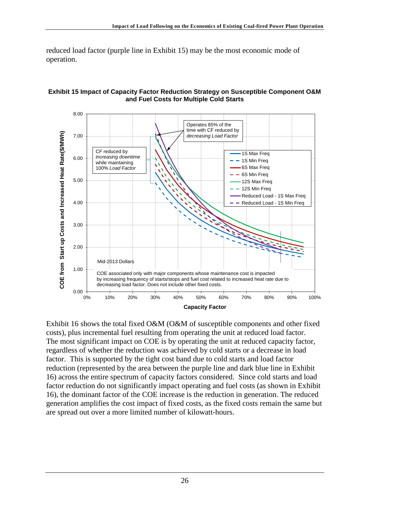reduced load factor (purple line in [Exhibit 15\)](#page-31-0) may be the most economic mode of operation.



#### <span id="page-31-0"></span>**Exhibit 15 Impact of Capacity Factor Reduction Strategy on Susceptible Component O&M and Fuel Costs for Multiple Cold Starts**

[Exhibit 16](#page-32-1) shows the total fixed O&M (O&M of susceptible components and other fixed costs), plus incremental fuel resulting from operating the unit at reduced load factor. The most significant impact on COE is by operating the unit at reduced capacity factor, regardless of whether the reduction was achieved by cold starts or a decrease in load factor. This is supported by the tight cost band due to cold starts and load factor reduction (represented by the area between the purple line and dark blue line in [Exhibit](#page-32-1)  [16\)](#page-32-1) across the entire spectrum of capacity factors considered. Since cold starts and load factor reduction do not significantly impact operating and fuel costs (as shown in [Exhibit](#page-32-1)  [16\)](#page-32-1), the dominant factor of the COE increase is the reduction in generation. The reduced generation amplifies the cost impact of fixed costs, as the fixed costs remain the same but are spread out over a more limited number of kilowatt-hours.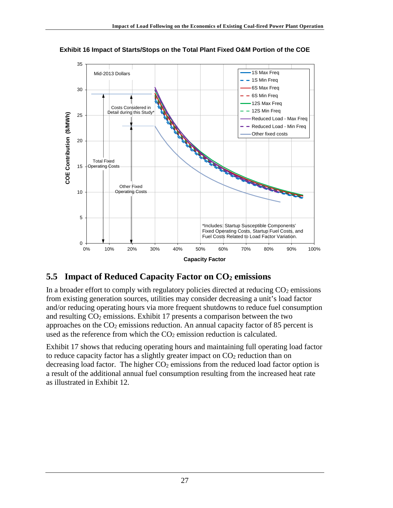<span id="page-32-1"></span>

**Exhibit 16 Impact of Starts/Stops on the Total Plant Fixed O&M Portion of the COE**

### <span id="page-32-0"></span>**5.5 Impact of Reduced Capacity Factor on CO2 emissions**

In a broader effort to comply with regulatory policies directed at reducing  $CO<sub>2</sub>$  emissions from existing generation sources, utilities may consider decreasing a unit's load factor and/or reducing operating hours via more frequent shutdowns to reduce fuel consumption and resulting  $CO<sub>2</sub>$  emissions. [Exhibit 17](#page-33-1) presents a comparison between the two approaches on the  $CO<sub>2</sub>$  emissions reduction. An annual capacity factor of 85 percent is used as the reference from which the  $CO<sub>2</sub>$  emission reduction is calculated.

[Exhibit 17](#page-33-1) shows that reducing operating hours and maintaining full operating load factor to reduce capacity factor has a slightly greater impact on  $CO<sub>2</sub>$  reduction than on decreasing load factor. The higher  $CO<sub>2</sub>$  emissions from the reduced load factor option is a result of the additional annual fuel consumption resulting from the increased heat rate as illustrated in [Exhibit 12.](#page-28-0)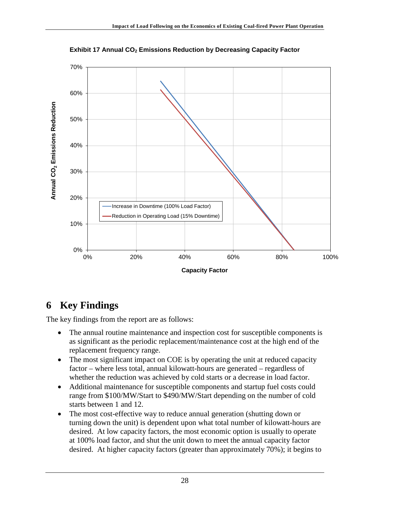<span id="page-33-1"></span>

**Exhibit 17 Annual CO<sub>2</sub> Emissions Reduction by Decreasing Capacity Factor** 

### <span id="page-33-0"></span>**6 Key Findings**

The key findings from the report are as follows:

- The annual routine maintenance and inspection cost for susceptible components is as significant as the periodic replacement/maintenance cost at the high end of the replacement frequency range.
- The most significant impact on COE is by operating the unit at reduced capacity factor – where less total, annual kilowatt-hours are generated – regardless of whether the reduction was achieved by cold starts or a decrease in load factor.
- Additional maintenance for susceptible components and startup fuel costs could range from \$100/MW/Start to \$490/MW/Start depending on the number of cold starts between 1 and 12.
- The most cost-effective way to reduce annual generation (shutting down or turning down the unit) is dependent upon what total number of kilowatt-hours are desired. At low capacity factors, the most economic option is usually to operate at 100% load factor, and shut the unit down to meet the annual capacity factor desired. At higher capacity factors (greater than approximately 70%); it begins to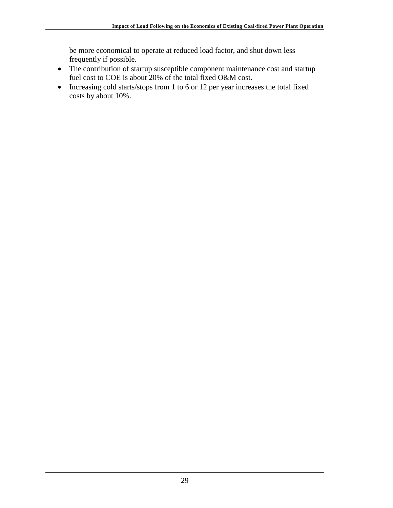be more economical to operate at reduced load factor, and shut down less frequently if possible.

- The contribution of startup susceptible component maintenance cost and startup fuel cost to COE is about 20% of the total fixed O&M cost.
- Increasing cold starts/stops from 1 to 6 or 12 per year increases the total fixed costs by about 10%.